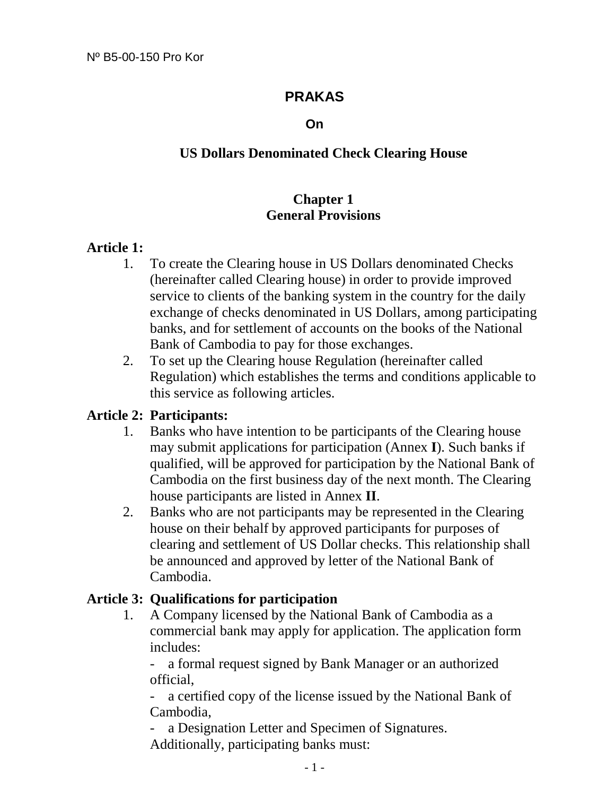# **PRAKAS**

#### **On**

# **US Dollars Denominated Check Clearing House**

# **Chapter 1 General Provisions**

#### **Article 1:**

- 1. To create the Clearing house in US Dollars denominated Checks (hereinafter called Clearing house) in order to provide improved service to clients of the banking system in the country for the daily exchange of checks denominated in US Dollars, among participating banks, and for settlement of accounts on the books of the National Bank of Cambodia to pay for those exchanges.
- 2. To set up the Clearing house Regulation (hereinafter called Regulation) which establishes the terms and conditions applicable to this service as following articles.

#### **Article 2: Participants:**

- 1. Banks who have intention to be participants of the Clearing house may submit applications for participation (Annex **I**). Such banks if qualified, will be approved for participation by the National Bank of Cambodia on the first business day of the next month. The Clearing house participants are listed in Annex **II**.
- 2. Banks who are not participants may be represented in the Clearing house on their behalf by approved participants for purposes of clearing and settlement of US Dollar checks. This relationship shall be announced and approved by letter of the National Bank of Cambodia.

#### **Article 3: Qualifications for participation**

1. A Company licensed by the National Bank of Cambodia as a commercial bank may apply for application. The application form includes:

- a formal request signed by Bank Manager or an authorized official,

 - a certified copy of the license issued by the National Bank of Cambodia,

a Designation Letter and Specimen of Signatures. Additionally, participating banks must: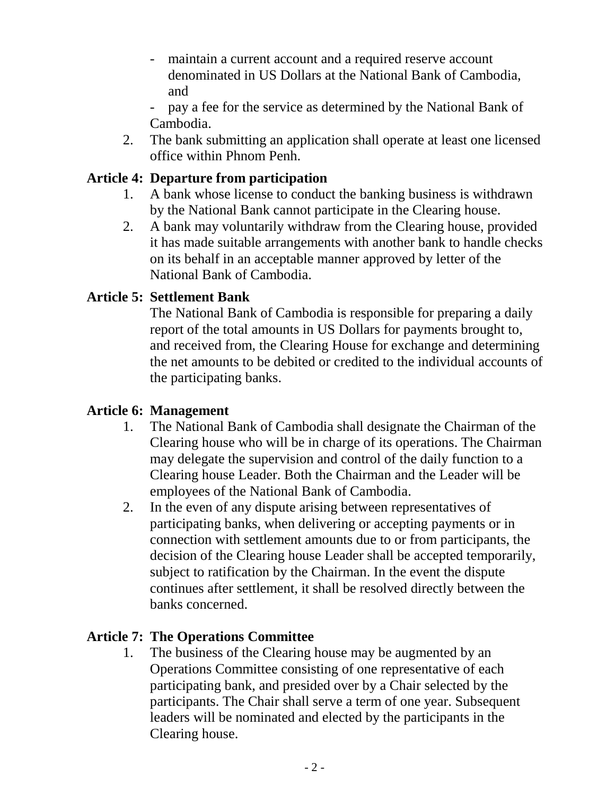- maintain a current account and a required reserve account denominated in US Dollars at the National Bank of Cambodia, and
- pay a fee for the service as determined by the National Bank of Cambodia.
- 2. The bank submitting an application shall operate at least one licensed office within Phnom Penh.

# **Article 4: Departure from participation**

- 1. A bank whose license to conduct the banking business is withdrawn by the National Bank cannot participate in the Clearing house.
- 2. A bank may voluntarily withdraw from the Clearing house, provided it has made suitable arrangements with another bank to handle checks on its behalf in an acceptable manner approved by letter of the National Bank of Cambodia.

# **Article 5: Settlement Bank**

 The National Bank of Cambodia is responsible for preparing a daily report of the total amounts in US Dollars for payments brought to, and received from, the Clearing House for exchange and determining the net amounts to be debited or credited to the individual accounts of the participating banks.

# **Article 6: Management**

- 1. The National Bank of Cambodia shall designate the Chairman of the Clearing house who will be in charge of its operations. The Chairman may delegate the supervision and control of the daily function to a Clearing house Leader. Both the Chairman and the Leader will be employees of the National Bank of Cambodia.
- 2. In the even of any dispute arising between representatives of participating banks, when delivering or accepting payments or in connection with settlement amounts due to or from participants, the decision of the Clearing house Leader shall be accepted temporarily, subject to ratification by the Chairman. In the event the dispute continues after settlement, it shall be resolved directly between the banks concerned.

# **Article 7: The Operations Committee**

1. The business of the Clearing house may be augmented by an Operations Committee consisting of one representative of each participating bank, and presided over by a Chair selected by the participants. The Chair shall serve a term of one year. Subsequent leaders will be nominated and elected by the participants in the Clearing house.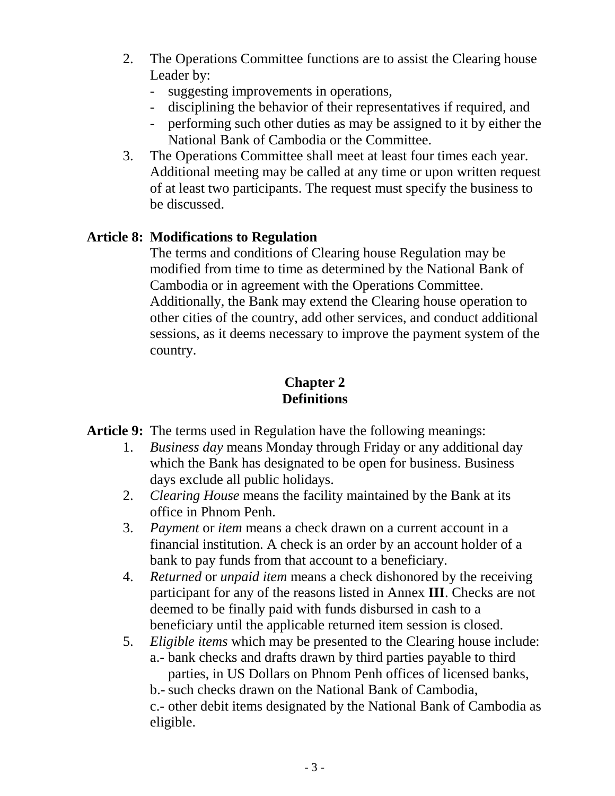- 2. The Operations Committee functions are to assist the Clearing house Leader by:
	- suggesting improvements in operations,
	- disciplining the behavior of their representatives if required, and
	- performing such other duties as may be assigned to it by either the National Bank of Cambodia or the Committee.
- 3. The Operations Committee shall meet at least four times each year. Additional meeting may be called at any time or upon written request of at least two participants. The request must specify the business to be discussed.

# **Article 8: Modifications to Regulation**

 The terms and conditions of Clearing house Regulation may be modified from time to time as determined by the National Bank of Cambodia or in agreement with the Operations Committee. Additionally, the Bank may extend the Clearing house operation to other cities of the country, add other services, and conduct additional sessions, as it deems necessary to improve the payment system of the country.

# **Chapter 2 Definitions**

**Article 9:** The terms used in Regulation have the following meanings:

- 1. *Business day* means Monday through Friday or any additional day which the Bank has designated to be open for business. Business days exclude all public holidays.
- 2. *Clearing House* means the facility maintained by the Bank at its office in Phnom Penh.
- 3. *Payment* or *item* means a check drawn on a current account in a financial institution. A check is an order by an account holder of a bank to pay funds from that account to a beneficiary.
- 4. *Returned* or *unpaid item* means a check dishonored by the receiving participant for any of the reasons listed in Annex **III**. Checks are not deemed to be finally paid with funds disbursed in cash to a beneficiary until the applicable returned item session is closed.
- 5. *Eligible items* which may be presented to the Clearing house include: a.- bank checks and drafts drawn by third parties payable to third parties, in US Dollars on Phnom Penh offices of licensed banks,

b.- such checks drawn on the National Bank of Cambodia,

 c.- other debit items designated by the National Bank of Cambodia as eligible.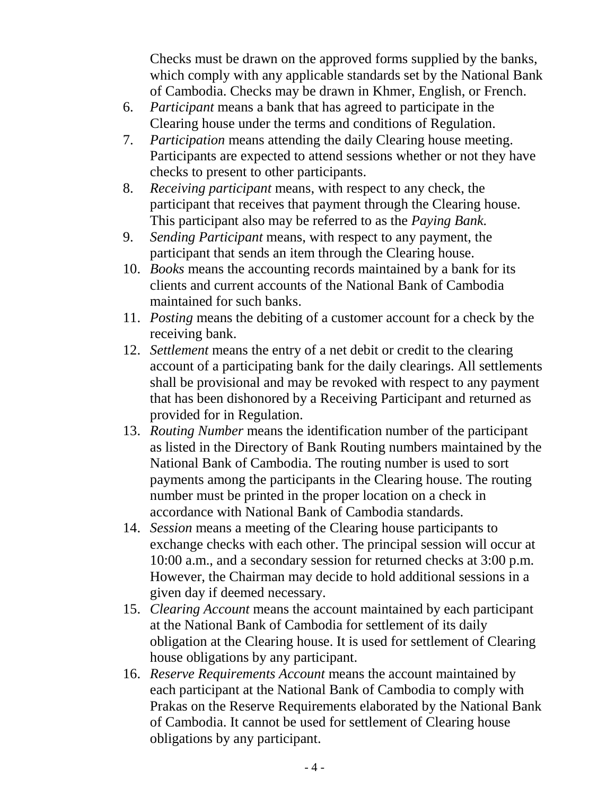Checks must be drawn on the approved forms supplied by the banks, which comply with any applicable standards set by the National Bank of Cambodia. Checks may be drawn in Khmer, English, or French.

- 6. *Participant* means a bank that has agreed to participate in the Clearing house under the terms and conditions of Regulation.
- 7. *Participation* means attending the daily Clearing house meeting. Participants are expected to attend sessions whether or not they have checks to present to other participants.
- 8. *Receiving participant* means, with respect to any check, the participant that receives that payment through the Clearing house. This participant also may be referred to as the *Paying Bank.*
- 9. *Sending Participant* means, with respect to any payment, the participant that sends an item through the Clearing house.
- 10. *Books* means the accounting records maintained by a bank for its clients and current accounts of the National Bank of Cambodia maintained for such banks.
- 11. *Posting* means the debiting of a customer account for a check by the receiving bank.
- 12. *Settlement* means the entry of a net debit or credit to the clearing account of a participating bank for the daily clearings. All settlements shall be provisional and may be revoked with respect to any payment that has been dishonored by a Receiving Participant and returned as provided for in Regulation.
- 13. *Routing Number* means the identification number of the participant as listed in the Directory of Bank Routing numbers maintained by the National Bank of Cambodia. The routing number is used to sort payments among the participants in the Clearing house. The routing number must be printed in the proper location on a check in accordance with National Bank of Cambodia standards.
- 14. *Session* means a meeting of the Clearing house participants to exchange checks with each other. The principal session will occur at 10:00 a.m., and a secondary session for returned checks at 3:00 p.m. However, the Chairman may decide to hold additional sessions in a given day if deemed necessary.
- 15. *Clearing Account* means the account maintained by each participant at the National Bank of Cambodia for settlement of its daily obligation at the Clearing house. It is used for settlement of Clearing house obligations by any participant.
- 16. *Reserve Requirements Account* means the account maintained by each participant at the National Bank of Cambodia to comply with Prakas on the Reserve Requirements elaborated by the National Bank of Cambodia. It cannot be used for settlement of Clearing house obligations by any participant.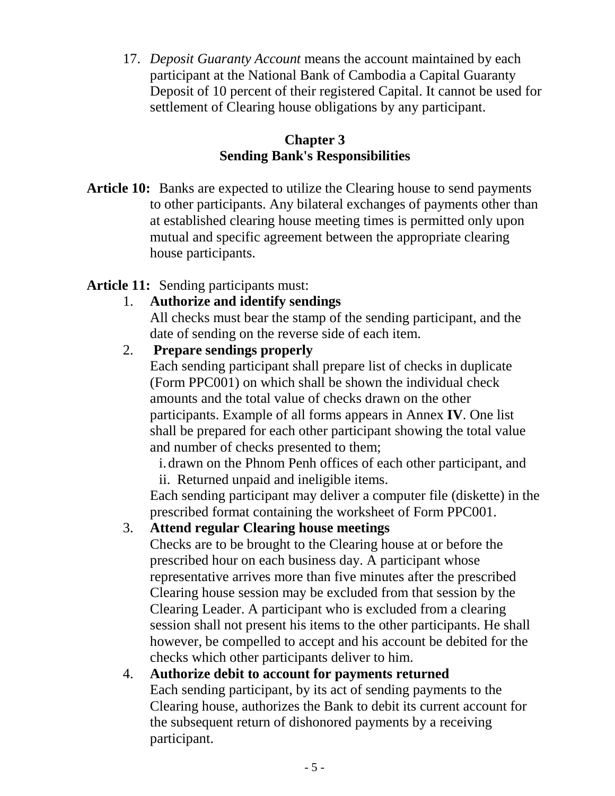17. *Deposit Guaranty Account* means the account maintained by each participant at the National Bank of Cambodia a Capital Guaranty Deposit of 10 percent of their registered Capital. It cannot be used for settlement of Clearing house obligations by any participant.

# **Chapter 3 Sending Bank's Responsibilities**

**Article 10:** Banks are expected to utilize the Clearing house to send payments to other participants. Any bilateral exchanges of payments other than at established clearing house meeting times is permitted only upon mutual and specific agreement between the appropriate clearing house participants.

# **Article 11:** Sending participants must:

1. **Authorize and identify sendings**

 All checks must bear the stamp of the sending participant, and the date of sending on the reverse side of each item.

# 2. **Prepare sendings properly**

 Each sending participant shall prepare list of checks in duplicate (Form PPC001) on which shall be shown the individual check amounts and the total value of checks drawn on the other participants. Example of all forms appears in Annex **IV**. One list shall be prepared for each other participant showing the total value and number of checks presented to them;

i.drawn on the Phnom Penh offices of each other participant, and ii. Returned unpaid and ineligible items.

Each sending participant may deliver a computer file (diskette) in the prescribed format containing the worksheet of Form PPC001.

# 3. **Attend regular Clearing house meetings**

 Checks are to be brought to the Clearing house at or before the prescribed hour on each business day. A participant whose representative arrives more than five minutes after the prescribed Clearing house session may be excluded from that session by the Clearing Leader. A participant who is excluded from a clearing session shall not present his items to the other participants. He shall however, be compelled to accept and his account be debited for the checks which other participants deliver to him.

# 4. **Authorize debit to account for payments returned**

 Each sending participant, by its act of sending payments to the Clearing house, authorizes the Bank to debit its current account for the subsequent return of dishonored payments by a receiving participant.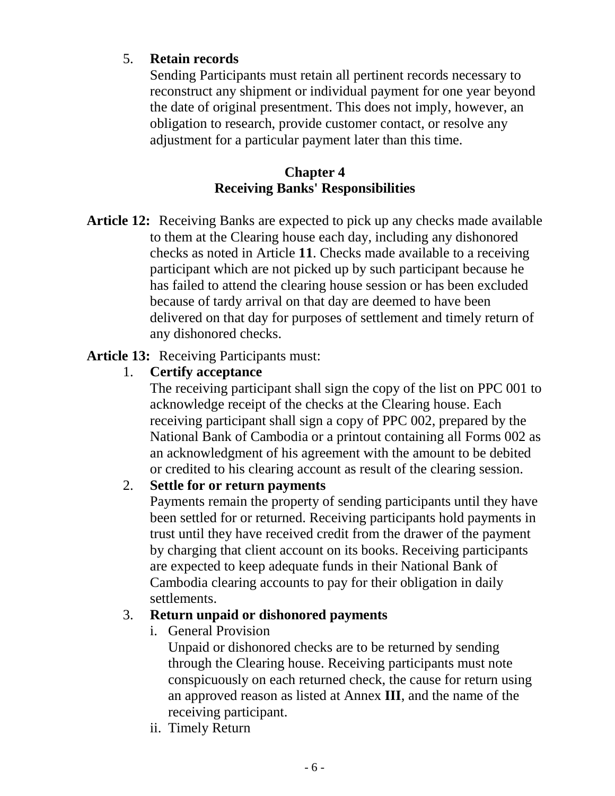# 5. **Retain records**

 Sending Participants must retain all pertinent records necessary to reconstruct any shipment or individual payment for one year beyond the date of original presentment. This does not imply, however, an obligation to research, provide customer contact, or resolve any adjustment for a particular payment later than this time.

# **Chapter 4 Receiving Banks' Responsibilities**

**Article 12:** Receiving Banks are expected to pick up any checks made available to them at the Clearing house each day, including any dishonored checks as noted in Article **11**. Checks made available to a receiving participant which are not picked up by such participant because he has failed to attend the clearing house session or has been excluded because of tardy arrival on that day are deemed to have been delivered on that day for purposes of settlement and timely return of any dishonored checks.

# **Article 13:** Receiving Participants must:

# 1. **Certify acceptance**

 The receiving participant shall sign the copy of the list on PPC 001 to acknowledge receipt of the checks at the Clearing house. Each receiving participant shall sign a copy of PPC 002, prepared by the National Bank of Cambodia or a printout containing all Forms 002 as an acknowledgment of his agreement with the amount to be debited or credited to his clearing account as result of the clearing session.

# 2. **Settle for or return payments**

 Payments remain the property of sending participants until they have been settled for or returned. Receiving participants hold payments in trust until they have received credit from the drawer of the payment by charging that client account on its books. Receiving participants are expected to keep adequate funds in their National Bank of Cambodia clearing accounts to pay for their obligation in daily settlements.

# 3. **Return unpaid or dishonored payments**

i. General Provision

 Unpaid or dishonored checks are to be returned by sending through the Clearing house. Receiving participants must note conspicuously on each returned check, the cause for return using an approved reason as listed at Annex **III**, and the name of the receiving participant.

ii. Timely Return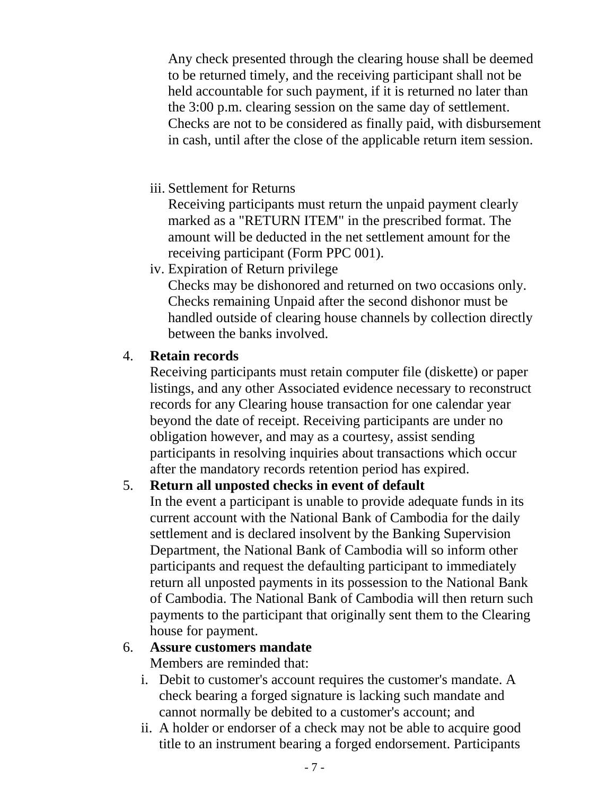Any check presented through the clearing house shall be deemed to be returned timely, and the receiving participant shall not be held accountable for such payment, if it is returned no later than the 3:00 p.m. clearing session on the same day of settlement. Checks are not to be considered as finally paid, with disbursement in cash, until after the close of the applicable return item session.

iii. Settlement for Returns

 Receiving participants must return the unpaid payment clearly marked as a "RETURN ITEM" in the prescribed format. The amount will be deducted in the net settlement amount for the receiving participant (Form PPC 001).

iv. Expiration of Return privilege

 Checks may be dishonored and returned on two occasions only. Checks remaining Unpaid after the second dishonor must be handled outside of clearing house channels by collection directly between the banks involved.

# 4. **Retain records**

 Receiving participants must retain computer file (diskette) or paper listings, and any other Associated evidence necessary to reconstruct records for any Clearing house transaction for one calendar year beyond the date of receipt. Receiving participants are under no obligation however, and may as a courtesy, assist sending participants in resolving inquiries about transactions which occur after the mandatory records retention period has expired.

# 5. **Return all unposted checks in event of default**

 In the event a participant is unable to provide adequate funds in its current account with the National Bank of Cambodia for the daily settlement and is declared insolvent by the Banking Supervision Department, the National Bank of Cambodia will so inform other participants and request the defaulting participant to immediately return all unposted payments in its possession to the National Bank of Cambodia. The National Bank of Cambodia will then return such payments to the participant that originally sent them to the Clearing house for payment.

# 6. **Assure customers mandate**

Members are reminded that:

- i. Debit to customer's account requires the customer's mandate. A check bearing a forged signature is lacking such mandate and cannot normally be debited to a customer's account; and
- ii. A holder or endorser of a check may not be able to acquire good title to an instrument bearing a forged endorsement. Participants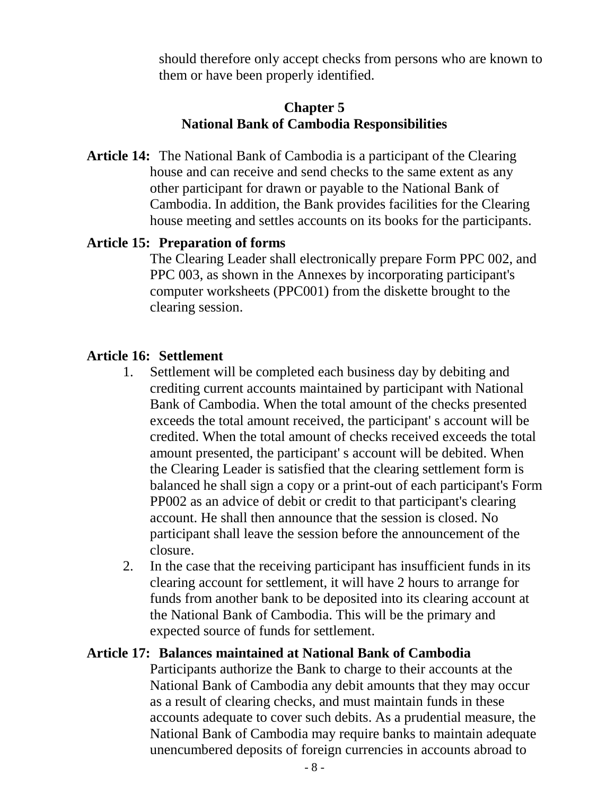should therefore only accept checks from persons who are known to them or have been properly identified.

#### **Chapter 5 National Bank of Cambodia Responsibilities**

**Article 14:** The National Bank of Cambodia is a participant of the Clearing house and can receive and send checks to the same extent as any other participant for drawn or payable to the National Bank of Cambodia. In addition, the Bank provides facilities for the Clearing house meeting and settles accounts on its books for the participants.

# **Article 15: Preparation of forms**

 The Clearing Leader shall electronically prepare Form PPC 002, and PPC 003, as shown in the Annexes by incorporating participant's computer worksheets (PPC001) from the diskette brought to the clearing session.

# **Article 16: Settlement**

- 1. Settlement will be completed each business day by debiting and crediting current accounts maintained by participant with National Bank of Cambodia. When the total amount of the checks presented exceeds the total amount received, the participant' s account will be credited. When the total amount of checks received exceeds the total amount presented, the participant' s account will be debited. When the Clearing Leader is satisfied that the clearing settlement form is balanced he shall sign a copy or a print-out of each participant's Form PP002 as an advice of debit or credit to that participant's clearing account. He shall then announce that the session is closed. No participant shall leave the session before the announcement of the closure.
- 2. In the case that the receiving participant has insufficient funds in its clearing account for settlement, it will have 2 hours to arrange for funds from another bank to be deposited into its clearing account at the National Bank of Cambodia. This will be the primary and expected source of funds for settlement.

#### **Article 17: Balances maintained at National Bank of Cambodia**

 Participants authorize the Bank to charge to their accounts at the National Bank of Cambodia any debit amounts that they may occur as a result of clearing checks, and must maintain funds in these accounts adequate to cover such debits. As a prudential measure, the National Bank of Cambodia may require banks to maintain adequate unencumbered deposits of foreign currencies in accounts abroad to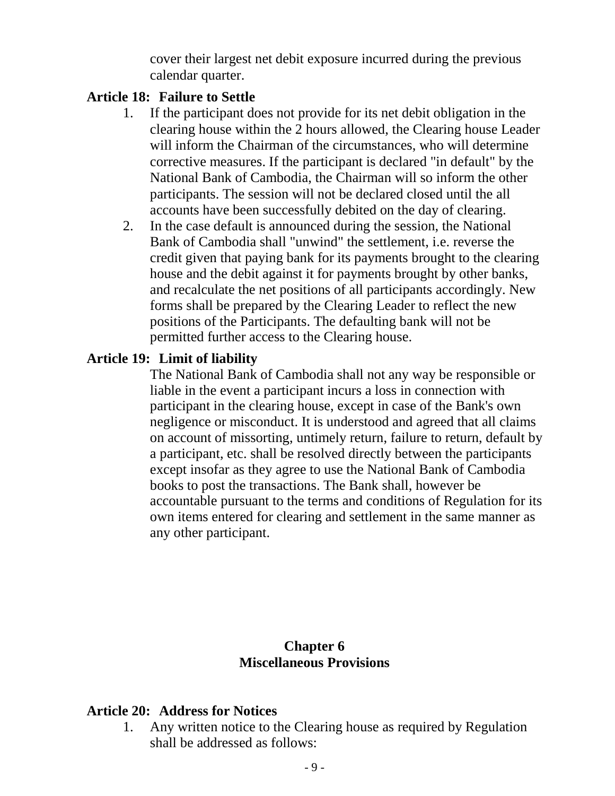cover their largest net debit exposure incurred during the previous calendar quarter.

#### **Article 18: Failure to Settle**

- 1. If the participant does not provide for its net debit obligation in the clearing house within the 2 hours allowed, the Clearing house Leader will inform the Chairman of the circumstances, who will determine corrective measures. If the participant is declared "in default" by the National Bank of Cambodia, the Chairman will so inform the other participants. The session will not be declared closed until the all accounts have been successfully debited on the day of clearing.
- 2. In the case default is announced during the session, the National Bank of Cambodia shall "unwind" the settlement, i.e. reverse the credit given that paying bank for its payments brought to the clearing house and the debit against it for payments brought by other banks, and recalculate the net positions of all participants accordingly. New forms shall be prepared by the Clearing Leader to reflect the new positions of the Participants. The defaulting bank will not be permitted further access to the Clearing house.

#### **Article 19: Limit of liability**

 The National Bank of Cambodia shall not any way be responsible or liable in the event a participant incurs a loss in connection with participant in the clearing house, except in case of the Bank's own negligence or misconduct. It is understood and agreed that all claims on account of missorting, untimely return, failure to return, default by a participant, etc. shall be resolved directly between the participants except insofar as they agree to use the National Bank of Cambodia books to post the transactions. The Bank shall, however be accountable pursuant to the terms and conditions of Regulation for its own items entered for clearing and settlement in the same manner as any other participant.

#### **Chapter 6 Miscellaneous Provisions**

#### **Article 20: Address for Notices**

1. Any written notice to the Clearing house as required by Regulation shall be addressed as follows: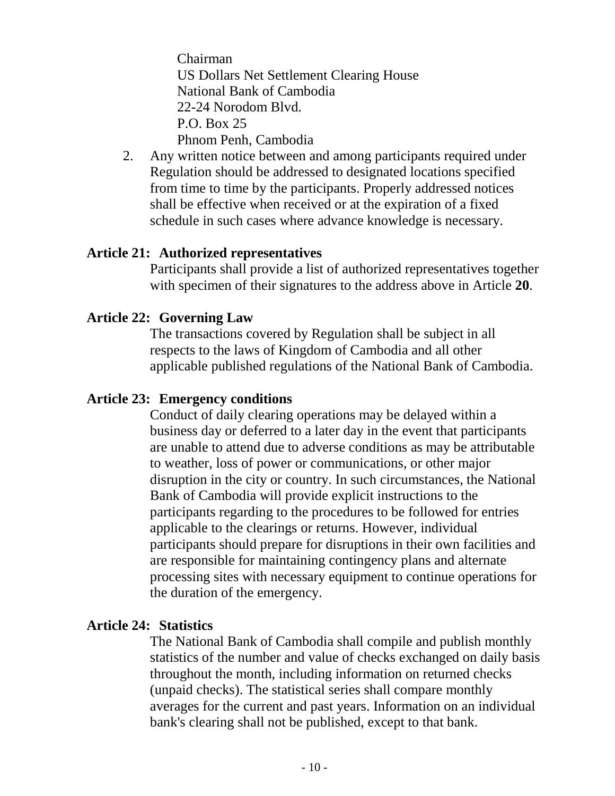Chairman US Dollars Net Settlement Clearing House National Bank of Cambodia 22-24 Norodom Blvd. P.O. Box 25 Phnom Penh, Cambodia

2. Any written notice between and among participants required under Regulation should be addressed to designated locations specified from time to time by the participants. Properly addressed notices shall be effective when received or at the expiration of a fixed schedule in such cases where advance knowledge is necessary.

#### **Article 21: Authorized representatives**

 Participants shall provide a list of authorized representatives together with specimen of their signatures to the address above in Article **20**.

#### **Article 22: Governing Law**

 The transactions covered by Regulation shall be subject in all respects to the laws of Kingdom of Cambodia and all other applicable published regulations of the National Bank of Cambodia.

#### **Article 23: Emergency conditions**

 Conduct of daily clearing operations may be delayed within a business day or deferred to a later day in the event that participants are unable to attend due to adverse conditions as may be attributable to weather, loss of power or communications, or other major disruption in the city or country. In such circumstances, the National Bank of Cambodia will provide explicit instructions to the participants regarding to the procedures to be followed for entries applicable to the clearings or returns. However, individual participants should prepare for disruptions in their own facilities and are responsible for maintaining contingency plans and alternate processing sites with necessary equipment to continue operations for the duration of the emergency.

#### **Article 24: Statistics**

 The National Bank of Cambodia shall compile and publish monthly statistics of the number and value of checks exchanged on daily basis throughout the month, including information on returned checks (unpaid checks). The statistical series shall compare monthly averages for the current and past years. Information on an individual bank's clearing shall not be published, except to that bank.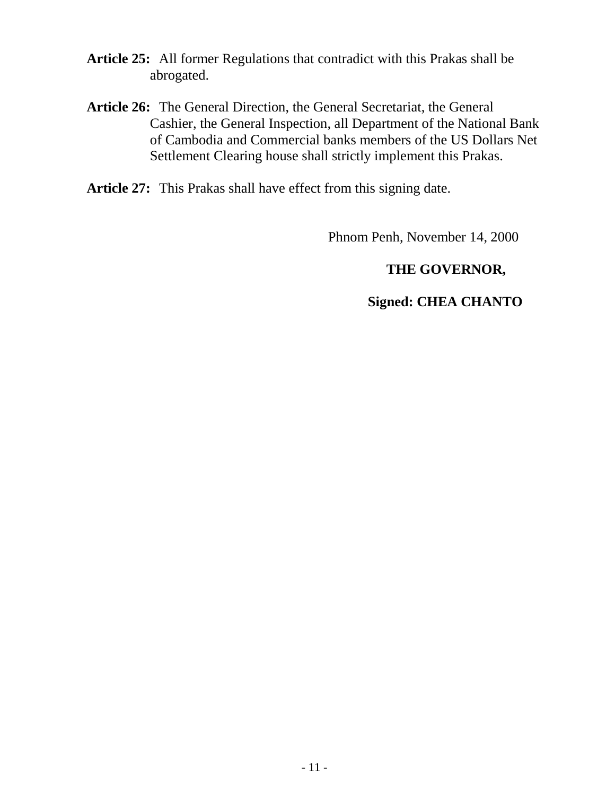- **Article 25:** All former Regulations that contradict with this Prakas shall be abrogated.
- **Article 26:** The General Direction, the General Secretariat, the General Cashier, the General Inspection, all Department of the National Bank of Cambodia and Commercial banks members of the US Dollars Net Settlement Clearing house shall strictly implement this Prakas.

**Article 27:** This Prakas shall have effect from this signing date.

Phnom Penh, November 14, 2000

# **THE GOVERNOR,**

#### **Signed: CHEA CHANTO**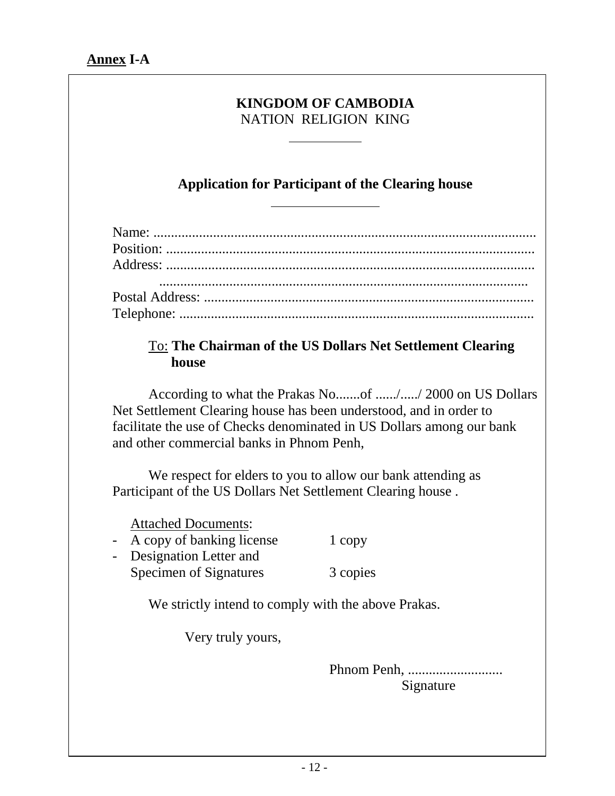#### **KINGDOM OF CAMBODIA**  NATION RELIGION KING

 $\overline{a}$ 

# **Application for Participant of the Clearing house**

# To: **The Chairman of the US Dollars Net Settlement Clearing house**

According to what the Prakas No.......of ....../...../ 2000 on US Dollars Net Settlement Clearing house has been understood, and in order to facilitate the use of Checks denominated in US Dollars among our bank and other commercial banks in Phnom Penh,

We respect for elders to you to allow our bank attending as Participant of the US Dollars Net Settlement Clearing house .

Attached Documents:

- A copy of banking license 1 copy
- Designation Letter and Specimen of Signatures 3 copies

We strictly intend to comply with the above Prakas.

Very truly yours,

 Phnom Penh, ........................... Signature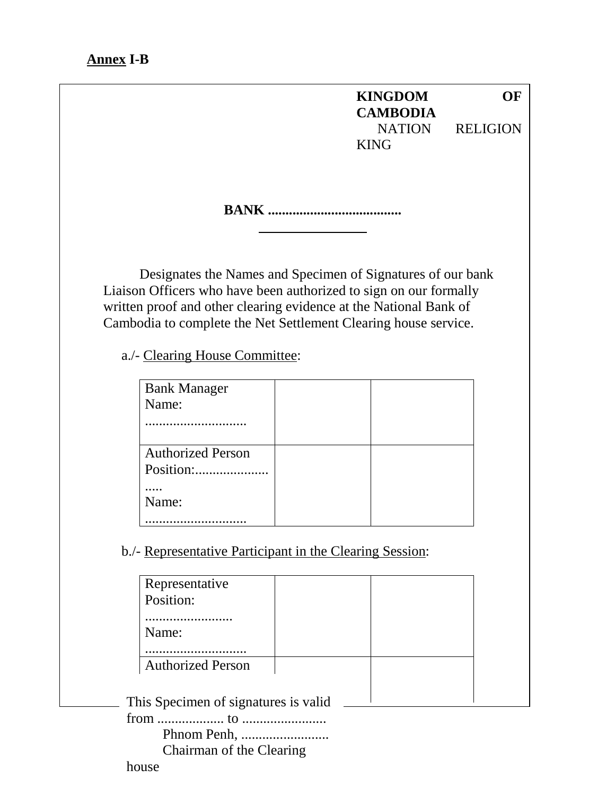#### **Annex I-B**

**KINGDOM OF CAMBODIA**  NATION RELIGION KING

**BANK ......................................** 

Designates the Names and Specimen of Signatures of our bank Liaison Officers who have been authorized to sign on our formally written proof and other clearing evidence at the National Bank of Cambodia to complete the Net Settlement Clearing house service.

a./- Clearing House Committee:

| <b>Bank Manager</b>                   |  |
|---------------------------------------|--|
| Name:                                 |  |
|                                       |  |
| <b>Authorized Person</b><br>Position: |  |
| Name:                                 |  |
|                                       |  |

b./- Representative Participant in the Clearing Session:

| Representative                       |  |  |
|--------------------------------------|--|--|
| Position:                            |  |  |
|                                      |  |  |
| Name:                                |  |  |
|                                      |  |  |
| <b>Authorized Person</b>             |  |  |
|                                      |  |  |
| This Specimen of signatures is valid |  |  |
|                                      |  |  |
|                                      |  |  |
| Chairman of the Clearing             |  |  |

house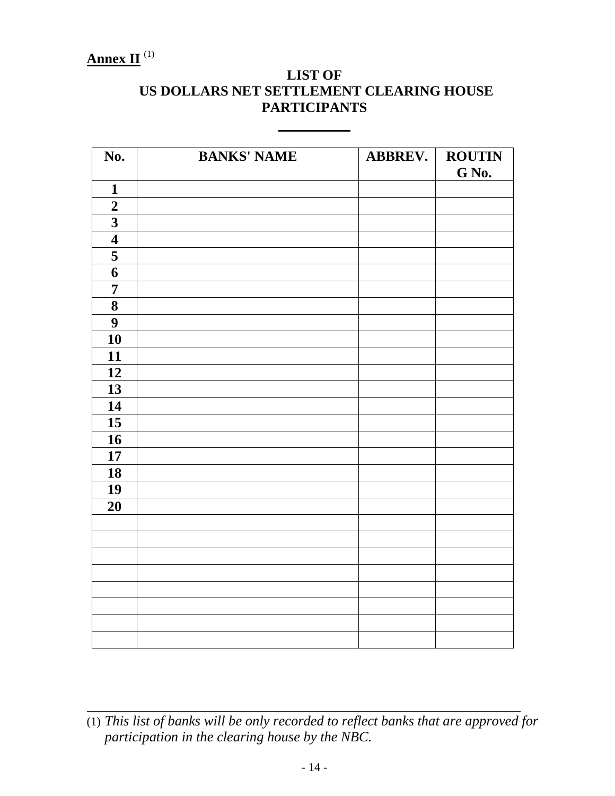# $\frac{\mathbf{Annex II}}{1}$ <sup>(1)</sup>

# **LIST OF US DOLLARS NET SETTLEMENT CLEARING HOUSE PARTICIPANTS**

| No.                     | <b>BANKS' NAME</b> | <b>ABBREV.</b> | <b>ROUTIN</b><br>G No. |
|-------------------------|--------------------|----------------|------------------------|
| $\mathbf{1}$            |                    |                |                        |
| $\overline{2}$          |                    |                |                        |
| $\overline{\mathbf{3}}$ |                    |                |                        |
| $\overline{\mathbf{4}}$ |                    |                |                        |
| $\overline{\mathbf{5}}$ |                    |                |                        |
| $\overline{\mathbf{6}}$ |                    |                |                        |
| $\overline{7}$          |                    |                |                        |
| ${\bf 8}$               |                    |                |                        |
| $\overline{9}$          |                    |                |                        |
| 10                      |                    |                |                        |
| 11                      |                    |                |                        |
| 12                      |                    |                |                        |
| 13                      |                    |                |                        |
| 14                      |                    |                |                        |
| 15                      |                    |                |                        |
| 16                      |                    |                |                        |
| 17                      |                    |                |                        |
| 18                      |                    |                |                        |
| 19                      |                    |                |                        |
| 20                      |                    |                |                        |
|                         |                    |                |                        |
|                         |                    |                |                        |
|                         |                    |                |                        |
|                         |                    |                |                        |
|                         |                    |                |                        |
|                         |                    |                |                        |
|                         |                    |                |                        |
|                         |                    |                |                        |

<sup>(1)</sup> *This list of banks will be only recorded to reflect banks that are approved for participation in the clearing house by the NBC.*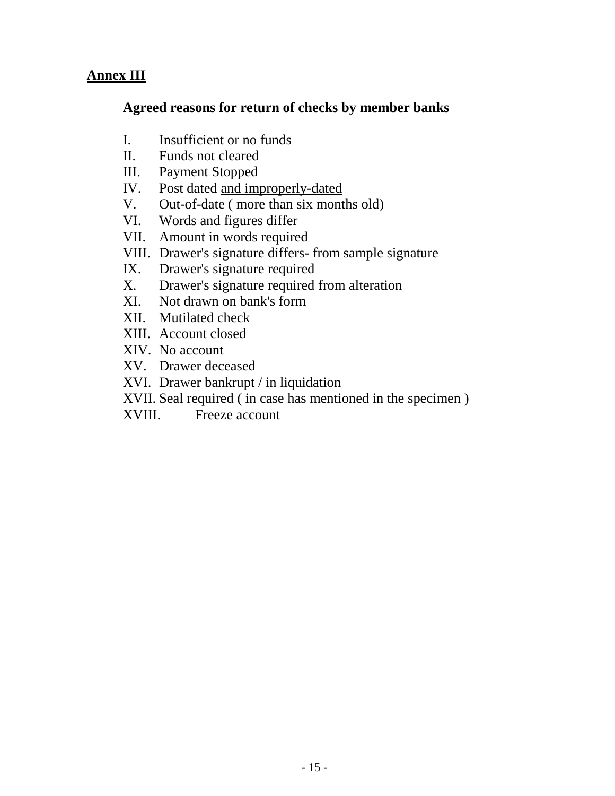# **Annex III**

# **Agreed reasons for return of checks by member banks**

- I. Insufficient or no funds
- II. Funds not cleared
- III. Payment Stopped
- IV. Post dated and improperly-dated
- V. Out-of-date ( more than six months old)
- VI. Words and figures differ
- VII. Amount in words required
- VIII. Drawer's signature differs- from sample signature
- IX. Drawer's signature required
- X. Drawer's signature required from alteration
- XI. Not drawn on bank's form
- XII. Mutilated check
- XIII. Account closed
- XIV. No account
- XV. Drawer deceased
- XVI. Drawer bankrupt / in liquidation
- XVII. Seal required ( in case has mentioned in the specimen )
- XVIII. Freeze account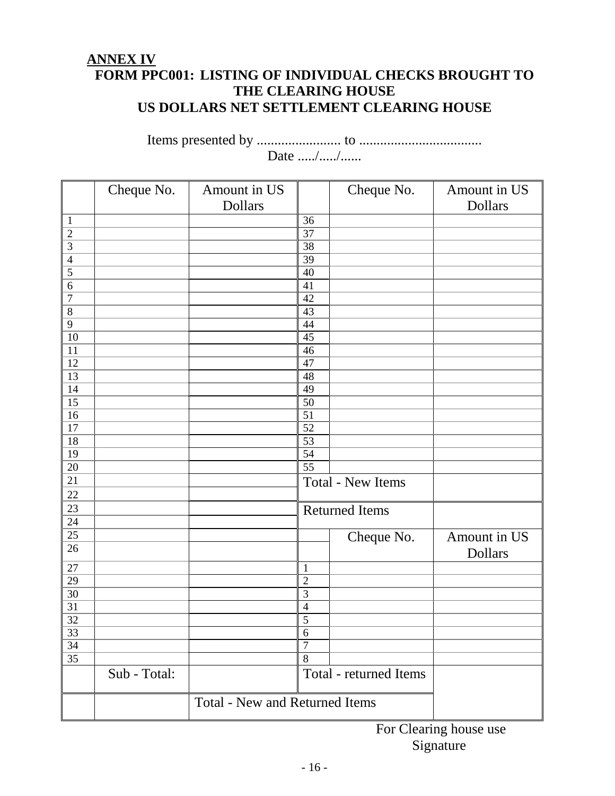# **ANNEX IV FORM PPC001: LISTING OF INDIVIDUAL CHECKS BROUGHT TO THE CLEARING HOUSE US DOLLARS NET SETTLEMENT CLEARING HOUSE**

Items presented by ........................ to ................................... Date ...../...../......

|                         | Cheque No.   | Amount in US                          |                | Cheque No.               | Amount in US |
|-------------------------|--------------|---------------------------------------|----------------|--------------------------|--------------|
|                         |              | Dollars                               |                |                          | Dollars      |
| $\mathbf{1}$            |              |                                       | 36             |                          |              |
| $\overline{2}$          |              |                                       | 37             |                          |              |
| $\overline{\mathbf{3}}$ |              |                                       | 38             |                          |              |
| $\overline{4}$          |              |                                       | 39             |                          |              |
| 5                       |              |                                       | 40             |                          |              |
| 6                       |              |                                       | 41             |                          |              |
| $\overline{7}$          |              |                                       | 42             |                          |              |
| 8                       |              |                                       | 43             |                          |              |
| 9                       |              |                                       | 44             |                          |              |
| 10                      |              |                                       | 45             |                          |              |
| 11                      |              |                                       | 46             |                          |              |
| 12                      |              |                                       | 47             |                          |              |
| 13                      |              |                                       | 48             |                          |              |
| 14                      |              |                                       | 49             |                          |              |
| 15                      |              |                                       | 50             |                          |              |
| 16                      |              |                                       | 51             |                          |              |
| 17                      |              |                                       | 52             |                          |              |
| 18                      |              |                                       | 53             |                          |              |
| 19                      |              |                                       | 54             |                          |              |
| 20                      |              |                                       | 55             |                          |              |
| 21                      |              |                                       |                | <b>Total - New Items</b> |              |
| 22                      |              |                                       |                |                          |              |
| 23                      |              |                                       |                | <b>Returned Items</b>    |              |
| 24                      |              |                                       |                |                          |              |
| 25                      |              |                                       |                | Cheque No.               | Amount in US |
| 26                      |              |                                       |                |                          | Dollars      |
| 27                      |              |                                       | $\mathbf{1}$   |                          |              |
| 29                      |              |                                       | $\overline{2}$ |                          |              |
| 30                      |              |                                       | 3              |                          |              |
| 31                      |              |                                       | $\overline{4}$ |                          |              |
| 32                      |              |                                       | 5              |                          |              |
| $\overline{33}$         |              |                                       | $6\phantom{.}$ |                          |              |
| 34                      |              |                                       | $\overline{7}$ |                          |              |
| 35                      |              |                                       | 8              |                          |              |
|                         | Sub - Total: |                                       |                | Total - returned Items   |              |
|                         |              | <b>Total - New and Returned Items</b> |                |                          |              |
|                         |              |                                       |                |                          |              |

For Clearing house use Signature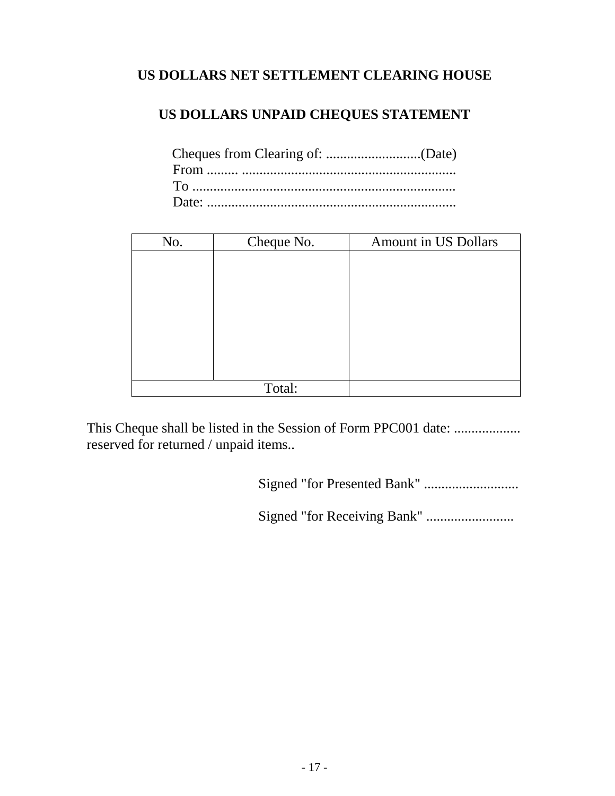# **US DOLLARS NET SETTLEMENT CLEARING HOUSE**

# **US DOLLARS UNPAID CHEQUES STATEMENT**

| No. | Cheque No. | Amount in US Dollars |
|-----|------------|----------------------|
|     |            |                      |
|     |            |                      |
|     |            |                      |
|     |            |                      |
|     |            |                      |
|     |            |                      |
|     |            |                      |
|     |            |                      |
|     | Total:     |                      |

This Cheque shall be listed in the Session of Form PPC001 date: ................... reserved for returned / unpaid items..

Signed "for Presented Bank" ...........................

Signed "for Receiving Bank" .........................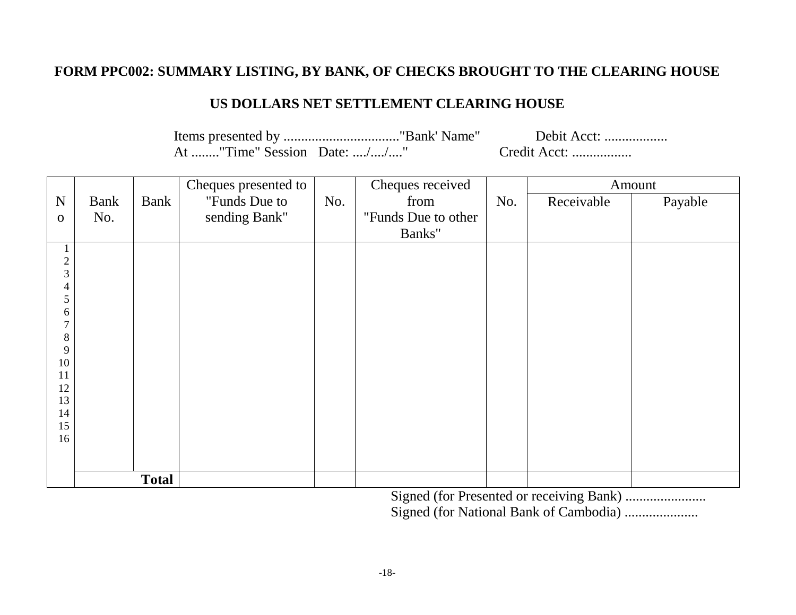### **FORM PPC002: SUMMARY LISTING, BY BANK, OF CHECKS BROUGHT TO THE CLEARING HOUSE**

#### **US DOLLARS NET SETTLEMENT CLEARING HOUSE**

Items presented by ................................."Bank' Name" Debit Acct: .................. At ........"Time" Session Date: ..../..../...." Credit Acct: ...................

|                         |             |              | Cheques presented to |     | Cheques received    |     |            | Amount  |
|-------------------------|-------------|--------------|----------------------|-----|---------------------|-----|------------|---------|
| N                       | <b>Bank</b> | Bank         | "Funds Due to        | No. | from                | No. | Receivable | Payable |
| $\mathbf 0$             | No.         |              | sending Bank"        |     | "Funds Due to other |     |            |         |
|                         |             |              |                      |     | Banks"              |     |            |         |
| $\perp$                 |             |              |                      |     |                     |     |            |         |
| $\frac{2}{3}$           |             |              |                      |     |                     |     |            |         |
| 4                       |             |              |                      |     |                     |     |            |         |
| 5                       |             |              |                      |     |                     |     |            |         |
| 6                       |             |              |                      |     |                     |     |            |         |
| $\overline{7}$          |             |              |                      |     |                     |     |            |         |
| $8\,$<br>$\overline{9}$ |             |              |                      |     |                     |     |            |         |
| 10                      |             |              |                      |     |                     |     |            |         |
| 11                      |             |              |                      |     |                     |     |            |         |
| 12<br>13                |             |              |                      |     |                     |     |            |         |
| 14                      |             |              |                      |     |                     |     |            |         |
| 15                      |             |              |                      |     |                     |     |            |         |
| 16                      |             |              |                      |     |                     |     |            |         |
|                         |             |              |                      |     |                     |     |            |         |
|                         |             | <b>Total</b> |                      |     |                     |     |            |         |

Signed (for Presented or receiving Bank) ....................... Signed (for National Bank of Cambodia) .....................